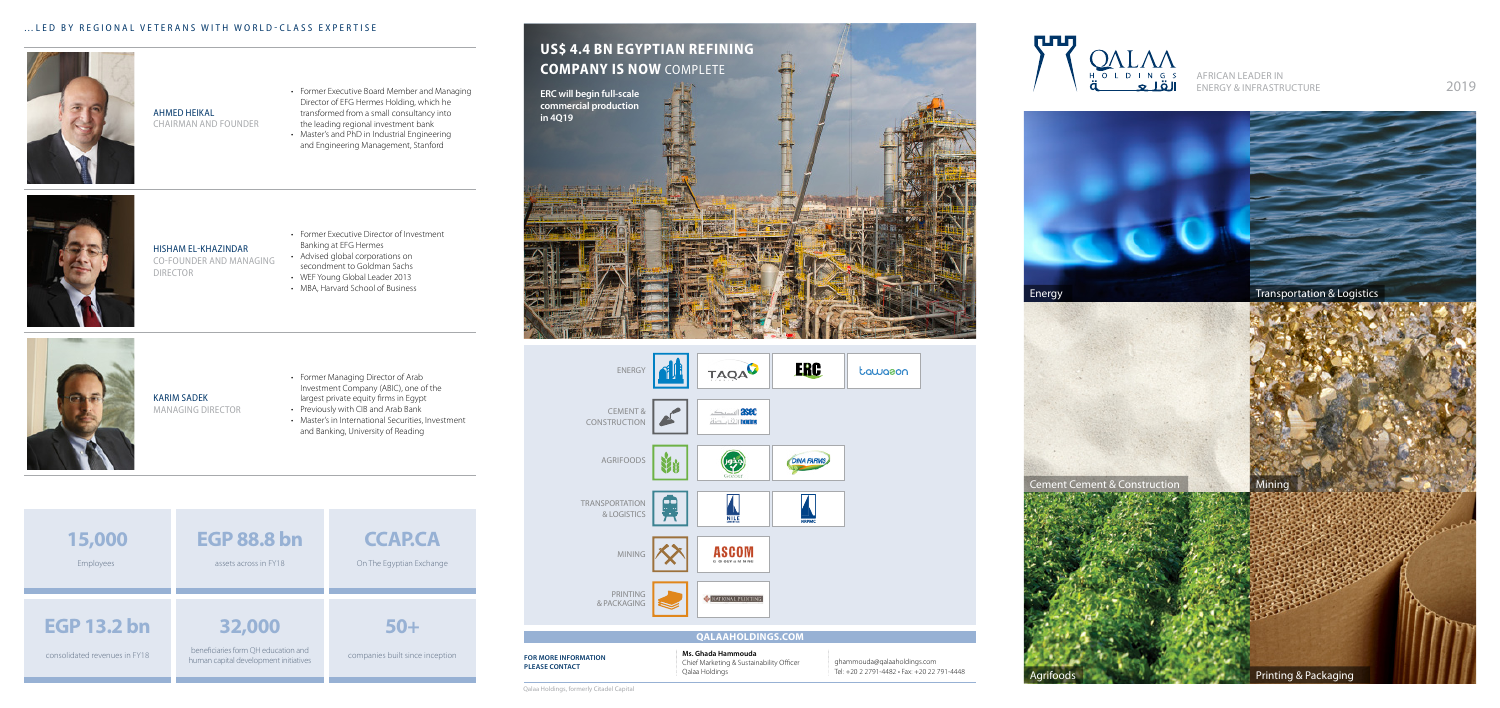

### Ahmed Heikal Chairman And Founder

- Former Executive Board Member and Managing Director of EFG Hermes Holding, which he transformed from a small consultancy into the leading regional investment bank
- Master's and PhD in Industrial Engineering and Engineering Management, Stanford





Hisham El-Khazindar Co-Founder and Managing **DIRECTOR** 

Karim Sadek

Managing Director

- • Former Executive Director of Investment Banking at EFG Hermes
- Advised global corporations on secondment to Goldman Sachs
- WEF Young Global Leader 2013
- • MBA, Harvard School of Business
- • Former Managing Director of Arab Investment Company (ABIC), one of the largest private equity firms in Egypt
- Previously with CIB and Arab Bank
- • Master's in International Securities, Investment and Banking, University of Reading

African Leader in ENERGY & INFRASTRUCTURE 2019

X Agrifoods

果 Transportation & Logistics



CEMENT &  $\mathbf{r}$ **CONSTRUCTION** 

a – Jean **Indi** 

**For more information please contact**

| ŷ        | <b>ERC</b>        | tawason |
|----------|-------------------|---------|
| êC<br>Lu |                   |         |
|          | <b>DINA FARMS</b> |         |
|          | <b>NRPMC</b>      |         |
| Λ<br>ıĞ  |                   |         |
| 1.47     |                   |         |

### **QALAAHOLDINGS.COM**

**Ms. Ghada Hammouda** Chief Marketing & Sustainability Officer Qalaa Holdings

ghammouda@qalaaholdings.com Tel: +20 2 2791-4482 • Fax: +20 22 791-4448





**Printing & Packaging** 

Qalaa Holdings, formerly Citadel Capital





# ENERGY

**TAQA** 



**ASCON** 

printing & packaging